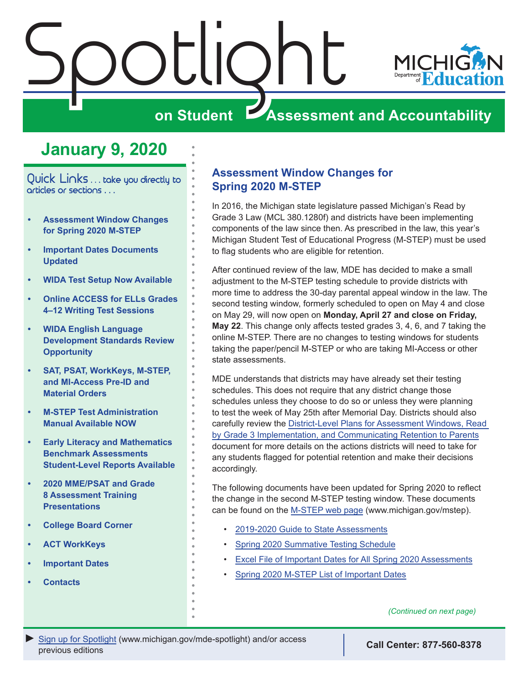<span id="page-0-0"></span>

# **January 9, 2020**

Quick Links . . . take you directly to articles or sections . . .

- **• Assessment Window Changes for Spring 2020 M-STEP**
- **• [Important Dates Documents](#page-1-0)  [Updated](#page-1-0)**
- **• [WIDA Test Setup Now Available](#page-1-0)**
- **• [Online ACCESS for ELLs Grades](#page-1-0)  [4–12 Writing Test Sessions](#page-1-0)**
- **• [WIDA English Language](#page-2-0)  [Development Standards Review](#page-2-0)  [Opportunity](#page-2-0)**
- **• [SAT, PSAT, WorkKeys, M-STEP,](#page-2-0)  [and MI-Access Pre-ID and](#page-2-0)  [Material Orders](#page-2-0)**
- **• [M-STEP Test Administration](#page-2-0)  [Manual Available NOW](#page-2-0)**
- **• [Early Literacy and Mathematics](#page-3-0)  [Benchmark Assessments](#page-3-0)  [Student-Level Reports Available](#page-3-0)**
- **• [2020 MME/PSAT and Grade](#page-3-0)  [8 Assessment Training](#page-3-0)  [Presentations](#page-3-0)**
- **• [College Board Corner](#page-4-0)**
- **• [ACT WorkKeys](#page-6-0)**
- **• [Important Dates](#page-8-0)**
- **• [Contacts](#page-9-0)**

## **Assessment Window Changes for Spring 2020 M-STEP**

In 2016, the Michigan state legislature passed Michigan's Read by Grade 3 Law (MCL 380.1280f) and districts have been implementing components of the law since then. As prescribed in the law, this year's Michigan Student Test of Educational Progress (M-STEP) must be used to flag students who are eligible for retention.

After continued review of the law, MDE has decided to make a small adjustment to the M-STEP testing schedule to provide districts with more time to address the 30-day parental appeal window in the law. The second testing window, formerly scheduled to open on May 4 and close on May 29, will now open on **Monday, April 27 and close on Friday, May 22**. This change only affects tested grades 3, 4, 6, and 7 taking the online M-STEP. There are no changes to testing windows for students taking the paper/pencil M-STEP or who are taking MI-Access or other state assessments.

MDE understands that districts may have already set their testing schedules. This does not require that any district change those schedules unless they choose to do so or unless they were planning to test the week of May 25th after Memorial Day. Districts should also carefully review the [District-Level Plans for Assessment Windows, Read](https://www.michigan.gov/mde/0,4615,7-140-28753_74161-498394--,00.html)  [by Grade 3 Implementation, and Communicating Retention to Parents](https://www.michigan.gov/mde/0,4615,7-140-28753_74161-498394--,00.html) document for more details on the actions districts will need to take for any students flagged for potential retention and make their decisions accordingly.

The following documents have been updated for Spring 2020 to reflect the change in the second M-STEP testing window. These documents can be found on the [M-STEP web page](www.michigan.gov/mstep) (www.michigan.gov/mstep).

- [2019-2020 Guide to State Assessments](https://www.michigan.gov/documents/mde/Guide_to_State_Assessments_668874_7.pdf)
- [Spring 2020 Summative Testing Schedule](https://www.michigan.gov/documents/mde/Testing_Schedule_for_Summative_Assessments_635008_7.pdf)
- [Excel File of Important Dates for All Spring 2020 Assessments](https://www.michigan.gov/documents/mde/S20_Important_Dates_web_668652_7.xlsx)
- [Spring 2020 M-STEP List of Important Dates](https://www.michigan.gov/documents/mde/M-STEP_List_of_Important_Dates_668890_7.pdf)

*(Continued on next page)*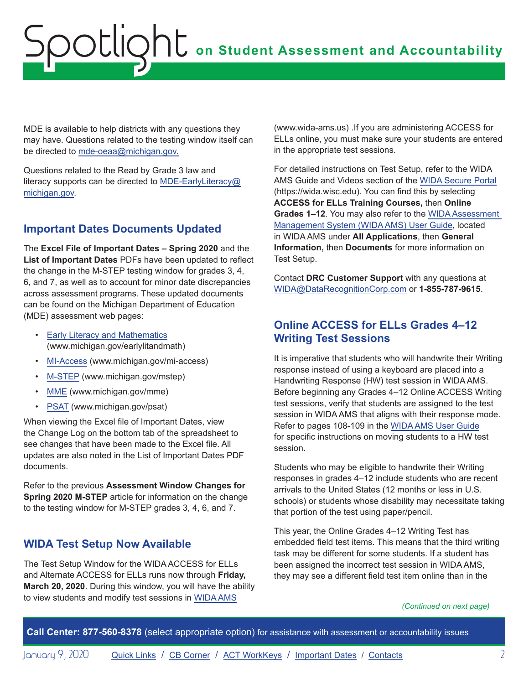<span id="page-1-0"></span>MDE is available to help districts with any questions they may have. Questions related to the testing window itself can be directed to [mde-oeaa@michigan.gov.](mailto:mde-oeaa%40michigan.gov?subject=)

Questions related to the Read by Grade 3 law and literacy supports can be directed to [MDE-EarlyLiteracy@](mailto:MDE-EarlyLiteracy%40michigan.gov?subject=) [michigan.gov.](mailto:MDE-EarlyLiteracy%40michigan.gov?subject=)

# **Important Dates Documents Updated**

The **Excel File of Important Dates – Spring 2020** and the **List of Important Dates** PDFs have been updated to reflect the change in the M-STEP testing window for grades 3, 4, 6, and 7, as well as to account for minor date discrepancies across assessment programs. These updated documents can be found on the Michigan Department of Education (MDE) assessment web pages:

- **[Early Literacy and Mathematics](www.michigan.gov/earlylitandmath)** (www.michigan.gov/earlylitandmath)
- [MI-Access](http://www.michigan.gov/mi-access) (www.michigan.gov/mi-access)
- [M-STEP](www.michigan.gov/mstep) (www.michigan.gov/mstep)
- [MME](www.michigan.gov/mme) (www.michigan.gov/mme)
- [PSAT](http://www.michigan.gov/psat) (www.michigan.gov/psat)

When viewing the Excel file of Important Dates, view the Change Log on the bottom tab of the spreadsheet to see changes that have been made to the Excel file. All updates are also noted in the List of Important Dates PDF documents.

Refer to the previous **Assessment Window Changes for Spring 2020 M-STEP** article for information on the change to the testing window for M-STEP grades 3, 4, 6, and 7.

# **WIDA Test Setup Now Available**

The Test Setup Window for the WIDA ACCESS for ELLs and Alternate ACCESS for ELLs runs now through **Friday, March 20, 2020**. During this window, you will have the ability to view students and modify test sessions in [WIDA AMS](https://www.wida-ams.us/)

(www.wida-ams.us) .If you are administering ACCESS for ELLs online, you must make sure your students are entered in the appropriate test sessions.

For detailed instructions on Test Setup, refer to the WIDA AMS Guide and Videos section of the [WIDA Secure Portal](https://wida.wisc.edu/) (https://wida.wisc.edu). You can find this by selecting **ACCESS for ELLs Training Courses,** then **Online Grades 1–12**. You may also refer to the [WIDA Assessment](https://www.wida-ams.us/Documents/Unsecure/Doc.aspx?id=ff5ccbf8-77db-4b84-ab60-dcd346f0c185)  [Management System \(WIDA AMS\) User Guide,](https://www.wida-ams.us/Documents/Unsecure/Doc.aspx?id=ff5ccbf8-77db-4b84-ab60-dcd346f0c185) located in WIDA AMS under **All Applications**, then **General Information,** then **Documents** for more information on Test Setup.

Contact **DRC Customer Support** with any questions at [WIDA@DataRecognitionCorp.com](mailto:WIDA%40DataRecognitionCorp.com?subject=) or **1-855-787-9615**.

# **Online ACCESS for ELLs Grades 4–12 Writing Test Sessions**

It is imperative that students who will handwrite their Writing response instead of using a keyboard are placed into a Handwriting Response (HW) test session in WIDA AMS. Before beginning any Grades 4–12 Online ACCESS Writing test sessions, verify that students are assigned to the test session in WIDA AMS that aligns with their response mode. Refer to pages 108-109 in the [WIDA AMS User Guide](https://www.wida-ams.us/Documents/Unsecure/Doc.aspx?id=ff5ccbf8-77db-4b84-ab60-dcd346f0c185) for specific instructions on moving students to a HW test session.

Students who may be eligible to handwrite their Writing responses in grades 4–12 include students who are recent arrivals to the United States (12 months or less in U.S. schools) or students whose disability may necessitate taking that portion of the test using paper/pencil.

This year, the Online Grades 4–12 Writing Test has embedded field test items. This means that the third writing task may be different for some students. If a student has been assigned the incorrect test session in WIDA AMS, they may see a different field test item online than in the

#### *(Continued on next page)*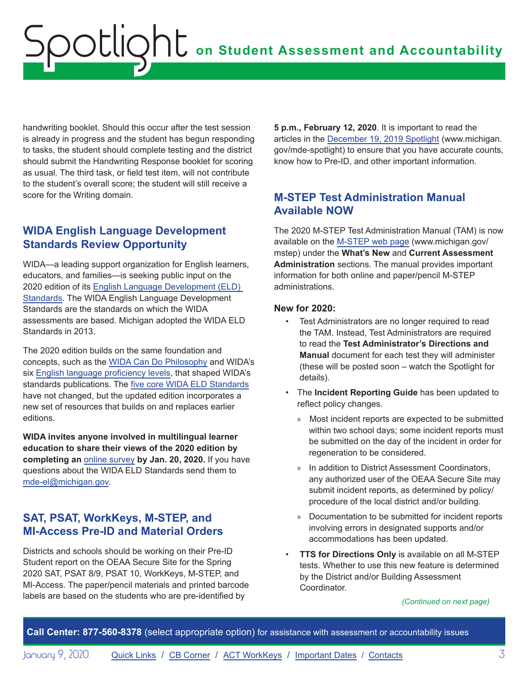<span id="page-2-0"></span>handwriting booklet. Should this occur after the test session is already in progress and the student has begun responding to tasks, the student should complete testing and the district should submit the Handwriting Response booklet for scoring as usual. The third task, or field test item, will not contribute to the student's overall score; the student will still receive a score for the Writing domain.

## **WIDA English Language Development Standards Review Opportunity**

WIDA—a leading support organization for English learners, educators, and families—is seeking public input on the 2020 edition of its [English Language Development \(ELD\)](https://wida.wisc.edu/2020standards)  [Standards](https://wida.wisc.edu/2020standards). The WIDA English Language Development Standards are the standards on which the WIDA assessments are based. Michigan adopted the WIDA ELD Standards in 2013.

The 2020 edition builds on the same foundation and concepts, such as the [WIDA Can Do Philosophy](https://wida.wisc.edu/resources/can-do-philosophy) and WIDA's six [English language proficiency levels](https://wida.wisc.edu/sites/default/files/resource/Performance-Definitions-Expressive-Domains.pdf), that shaped WIDA's standards publications. The [five core WIDA ELD Standards](https://wida.wisc.edu/teach/standards/eld) have not changed, but the updated edition incorporates a new set of resources that builds on and replaces earlier editions.

**WIDA invites anyone involved in multilingual learner education to share their views of the 2020 edition by completing an** [online survey](https://wida.wisc.edu/teach/standards/eld#public-input) **by Jan. 20, 2020.** If you have questions about the WIDA ELD Standards send them to [mde-el@michigan.gov.](mailto:mde-el%40michigan.gov?subject=)

# **SAT, PSAT, WorkKeys, M-STEP, and MI-Access Pre-ID and Material Orders**

Districts and schools should be working on their Pre-ID Student report on the OEAA Secure Site for the Spring 2020 SAT, PSAT 8/9, PSAT 10, WorkKeys, M-STEP, and MI-Access. The paper/pencil materials and printed barcode labels are based on the students who are pre-identified by

**5 p.m., February 12, 2020**. It is important to read the articles in the [December 19, 2019 Spotlight](https://www.michigan.gov/documents/mde/Spotlight_12-19-19_674462_7.pdf) (www.michigan. gov/mde-spotlight) to ensure that you have accurate counts, know how to Pre-ID, and other important information.

## **M-STEP Test Administration Manual Available NOW**

The 2020 M-STEP Test Administration Manual (TAM) is now available on the [M-STEP web page](https://www.michigan.gov/mde/0,4615,7-140-22709_70117---,00.html) (www.michigan.gov/ mstep) under the **What's New** and **Current Assessment Administration** sections. The manual provides important information for both online and paper/pencil M-STEP administrations.

#### **New for 2020:**

- Test Administrators are no longer required to read the TAM. Instead, Test Administrators are required to read the **Test Administrator's Directions and Manual** document for each test they will administer (these will be posted soon – watch the Spotlight for details).
- The **Incident Reporting Guide** has been updated to reflect policy changes.
	- » Most incident reports are expected to be submitted within two school days; some incident reports must be submitted on the day of the incident in order for regeneration to be considered.
	- » In addition to District Assessment Coordinators, any authorized user of the OEAA Secure Site may submit incident reports, as determined by policy/ procedure of the local district and/or building.
	- » Documentation to be submitted for incident reports involving errors in designated supports and/or accommodations has been updated.
- **TTS for Directions Only** is available on all M-STEP tests. Whether to use this new feature is determined by the District and/or Building Assessment Coordinator.

*(Continued on next page)*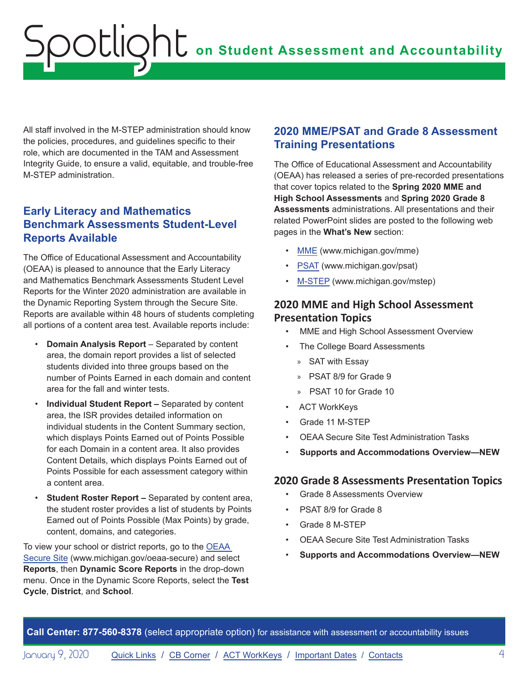<span id="page-3-0"></span>All staff involved in the M-STEP administration should know the policies, procedures, and guidelines specific to their role, which are documented in the TAM and Assessment Integrity Guide, to ensure a valid, equitable, and trouble-free M-STEP administration.

## **Early Literacy and Mathematics Benchmark Assessments Student-Level Reports Available**

The Office of Educational Assessment and Accountability (OEAA) is pleased to announce that the Early Literacy and Mathematics Benchmark Assessments Student Level Reports for the Winter 2020 administration are available in the Dynamic Reporting System through the Secure Site. Reports are available within 48 hours of students completing all portions of a content area test. Available reports include:

- **Domain Analysis Report** Separated by content area, the domain report provides a list of selected students divided into three groups based on the number of Points Earned in each domain and content area for the fall and winter tests.
- **Individual Student Report –** Separated by content area, the ISR provides detailed information on individual students in the Content Summary section, which displays Points Earned out of Points Possible for each Domain in a content area. It also provides Content Details, which displays Points Earned out of Points Possible for each assessment category within a content area.
- **Student Roster Report –** Separated by content area, the student roster provides a list of students by Points Earned out of Points Possible (Max Points) by grade, content, domains, and categories.

To view your school or district reports, go to the [OEAA](https://baa.state.mi.us/BAASecure/Login.aspx?enc=sQSIGs0qddc8WQf7JFtN/SpfRkjPVagJieGJfCfA2ZD5TduqOupZF6dMDjOxJNlz)  [Secure Site](https://baa.state.mi.us/BAASecure/Login.aspx?enc=sQSIGs0qddc8WQf7JFtN/SpfRkjPVagJieGJfCfA2ZD5TduqOupZF6dMDjOxJNlz) (www.michigan.gov/oeaa-secure) and select **Reports**, then **Dynamic Score Reports** in the drop-down menu. Once in the Dynamic Score Reports, select the **Test Cycle**, **District**, and **School**.

# **2020 MME/PSAT and Grade 8 Assessment Training Presentations**

The Office of Educational Assessment and Accountability (OEAA) has released a series of pre-recorded presentations that cover topics related to the **Spring 2020 MME and High School Assessments** and **Spring 2020 Grade 8 Assessments** administrations. All presentations and their related PowerPoint slides are posted to the following web pages in the **What's New** section:

- [MME](https://www.michigan.gov/mde/0,1607,7-140-22709_35150---,00.html) (www.michigan.gov/mme)
- [PSAT](https://www.michigan.gov/mde/0,4615,7-140-22709_86724---,00.html) (www.michigan.gov/psat)
- [M-STEP](https://www.michigan.gov/mde/0,4615,7-140-22709_70117---,00.html) (www.michigan.gov/mstep)

### **2020 MME and High School Assessment Presentation Topics**

- MME and High School Assessment Overview
- The College Board Assessments
	- » SAT with Essay
	- » PSAT 8/9 for Grade 9
	- » PSAT 10 for Grade 10
- ACT WorkKeys
- Grade 11 M-STEP
- OEAA Secure Site Test Administration Tasks
- **Supports and Accommodations Overview—NEW**

#### **2020 Grade 8 Assessments Presentation Topics**

- Grade 8 Assessments Overview
- PSAT 8/9 for Grade 8
- Grade 8 M-STEP
- OEAA Secure Site Test Administration Tasks
- **Supports and Accommodations Overview—NEW**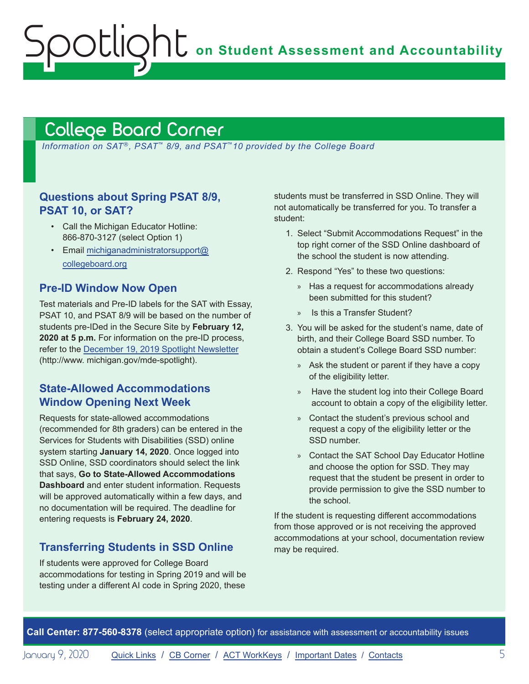**on Student Assessment and Accountability**

# <span id="page-4-1"></span>College Board Corner

<span id="page-4-0"></span>Spotlight

*Information on SAT*®*, PSAT*™ *8/9, and PSAT*™*10 provided by the College Board*

### **Questions about Spring PSAT 8/9, PSAT 10, or SAT?**

- Call the Michigan Educator Hotline: 866-870-3127 (select Option 1)
- Email [michiganadministratorsupport@](mailto:michiganadministratorsupport%40collegeboard.org?subject=) [collegeboard.org](mailto:michiganadministratorsupport%40collegeboard.org?subject=)

### **Pre-ID Window Now Open**

Test materials and Pre-ID labels for the SAT with Essay, PSAT 10, and PSAT 8/9 will be based on the number of students pre-IDed in the Secure Site by **February 12, 2020 at 5 p.m.** For information on the pre-ID process, refer to the [December 19, 2019 Spotlight Newsletter](https://www.michigan.gov/documents/mde/Spotlight_12-19-19_674462_7.pdf) (http://www. michigan.gov/mde-spotlight).

### **State-Allowed Accommodations Window Opening Next Week**

Requests for state-allowed accommodations (recommended for 8th graders) can be entered in the Services for Students with Disabilities (SSD) online system starting **January 14, 2020**. Once logged into SSD Online, SSD coordinators should select the link that says, **Go to State-Allowed Accommodations Dashboard** and enter student information. Requests will be approved automatically within a few days, and no documentation will be required. The deadline for entering requests is **February 24, 2020**.

### **Transferring Students in SSD Online**

If students were approved for College Board accommodations for testing in Spring 2019 and will be testing under a different AI code in Spring 2020, these

students must be transferred in SSD Online. They will not automatically be transferred for you. To transfer a student:

- 1. Select "Submit Accommodations Request" in the top right corner of the SSD Online dashboard of the school the student is now attending.
- 2. Respond "Yes" to these two questions:
	- » Has a request for accommodations already been submitted for this student?
	- » Is this a Transfer Student?
- 3. You will be asked for the student's name, date of birth, and their College Board SSD number. To obtain a student's College Board SSD number:
	- » Ask the student or parent if they have a copy of the eligibility letter.
	- » Have the student log into their College Board account to obtain a copy of the eligibility letter.
	- » Contact the student's previous school and request a copy of the eligibility letter or the SSD number.
	- » Contact the SAT School Day Educator Hotline and choose the option for SSD. They may request that the student be present in order to provide permission to give the SSD number to the school.

If the student is requesting different accommodations from those approved or is not receiving the approved accommodations at your school, documentation review may be required.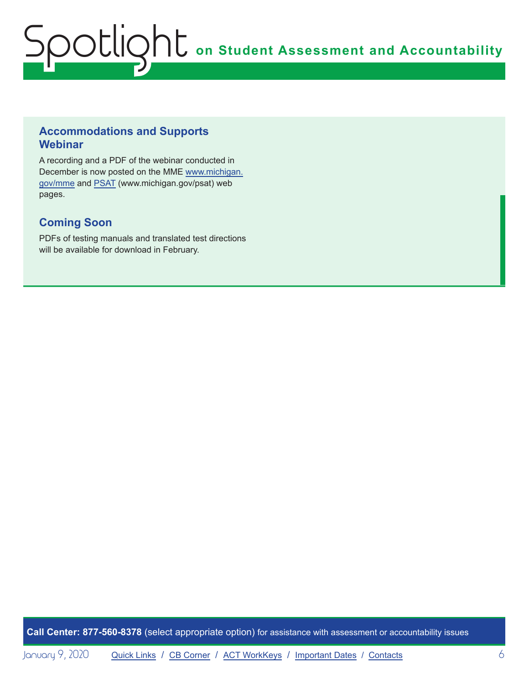### **Accommodations and Supports Webinar**

A recording and a PDF of the webinar conducted in December is now posted on the MME [www.michigan.](www.michigan.gov/mme) [gov/mme](www.michigan.gov/mme) and [PSAT](http://www.michigan.gov/psat) (www.michigan.gov/psat) web pages.

# **Coming Soon**

PDFs of testing manuals and translated test directions will be available for download in February.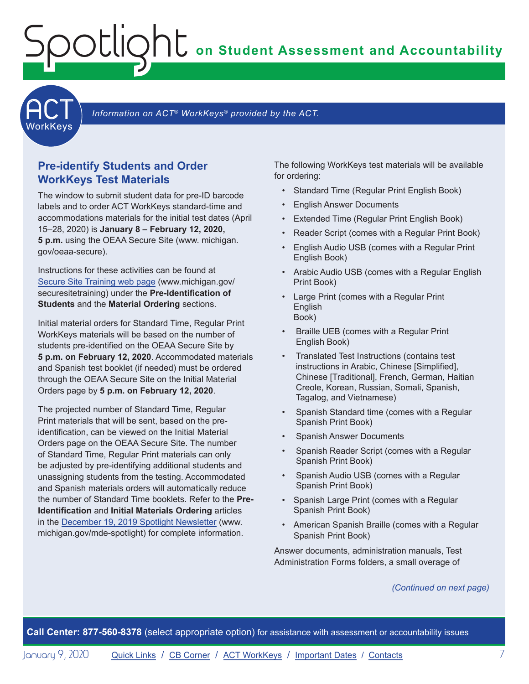**on Student Assessment and Accountability**



Information on ACT<sup>®</sup> WorkKeys<sup>®</sup> provided by the ACT.

### **Pre-identify Students and Order WorkKeys Test Materials**

<span id="page-6-0"></span>Spotlight

The window to submit student data for pre-ID barcode labels and to order ACT WorkKeys standard-time and accommodations materials for the initial test dates (April 15–28, 2020) is **January 8 – February 12, 2020, 5 p.m.** using the OEAA Secure Site (www. michigan. gov/oeaa-secure).

Instructions for these activities can be found at S[ecure Site Training web page](http://www.michigan.gov/securesitetraining) (www.michigan.gov/ securesitetraining) under the **Pre-Identification of Students** and the **Material Ordering** sections.

Initial material orders for Standard Time, Regular Print WorkKeys materials will be based on the number of students pre-identified on the OEAA Secure Site by **5 p.m. on February 12, 2020**. Accommodated materials and Spanish test booklet (if needed) must be ordered through the OEAA Secure Site on the Initial Material Orders page by **5 p.m. on February 12, 2020**.

The projected number of Standard Time, Regular Print materials that will be sent, based on the preidentification, can be viewed on the Initial Material Orders page on the OEAA Secure Site. The number of Standard Time, Regular Print materials can only be adjusted by pre-identifying additional students and unassigning students from the testing. Accommodated and Spanish materials orders will automatically reduce the number of Standard Time booklets. Refer to the **Pre-Identification** and **Initial Materials Ordering** articles in the [December 19, 2019 Spotlight Newsletter](https://www.michigan.gov/documents/mde/Spotlight_12-19-19_674462_7.pdf) (www. michigan.gov/mde-spotlight) for complete information.

The following WorkKeys test materials will be available for ordering:

- Standard Time (Regular Print English Book)
- English Answer Documents
- Extended Time (Regular Print English Book)
- Reader Script (comes with a Regular Print Book)
- English Audio USB (comes with a Regular Print English Book)
- Arabic Audio USB (comes with a Regular English Print Book)
- Large Print (comes with a Regular Print English Book)
- Braille UEB (comes with a Regular Print English Book)
- Translated Test Instructions (contains test instructions in Arabic, Chinese [Simplified], Chinese [Traditional], French, German, Haitian Creole, Korean, Russian, Somali, Spanish, Tagalog, and Vietnamese)
- Spanish Standard time (comes with a Regular Spanish Print Book)
- Spanish Answer Documents
- Spanish Reader Script (comes with a Regular Spanish Print Book)
- Spanish Audio USB (comes with a Regular Spanish Print Book)
- Spanish Large Print (comes with a Regular Spanish Print Book)
- American Spanish Braille (comes with a Regular Spanish Print Book)

Answer documents, administration manuals, Test Administration Forms folders, a small overage of

#### *(Continued on next page)*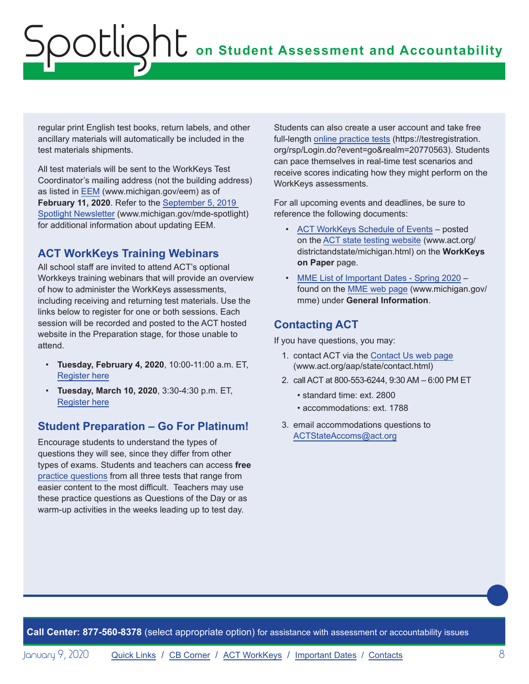regular print English test books, return labels, and other ancillary materials will automatically be included in the test materials shipments.

All test materials will be sent to the WorkKeys Test Coordinator's mailing address (not the building address) as listed in [EEM](www.michigan.gov/EEM) (www.michigan.gov/eem) as of **February 11, 2020**. Refer to the [September 5, 2019](https://www.michigan.gov/documents/mde/Spotlight_9-5-19_665116_7.pdf)  [Spotlight Newsletter](https://www.michigan.gov/documents/mde/Spotlight_9-5-19_665116_7.pdf) (www.michigan.gov/mde-spotlight) for additional information about updating EEM.

# **ACT WorkKeys Training Webinars**

All school staff are invited to attend ACT's optional Workkeys training webinars that will provide an overview of how to administer the WorkKeys assessments, including receiving and returning test materials. Use the links below to register for one or both sessions. Each session will be recorded and posted to the ACT hosted website in the Preparation stage, for those unable to attend.

- **Tuesday, February 4, 2020**, 10:00-11:00 a.m. ET, [Register here](https://event.on24.com/wcc/r/2124038/11177BB2C08057557E1BDD10CF935708)
- **Tuesday, March 10, 2020**, 3:30-4:30 p.m. ET, [Register here](https://event.on24.com/wcc/r/2124036/C50E209AAEDE2B03029BDE55DA459C17)

# **Student Preparation – Go For Platinum!**

Encourage students to understand the types of questions they will see, since they differ from other types of exams. Students and teachers can access **free** [practice questions](https://www.act.org/content/act/en/products-and-services/workkeys-for-job-seekers/preparation.html) from all three tests that range from easier content to the most difficult. Teachers may use these practice questions as Questions of the Day or as warm-up activities in the weeks leading up to test day.

Students can also create a user account and take free full-length [online practice tests](https://testregistration.org/rsp/Login.do?event=go&realm=20770563) (https://testregistration. org/rsp/Login.do?event=go&realm=20770563). Students can pace themselves in real-time test scenarios and receive scores indicating how they might perform on the WorkKeys assessments.

For all upcoming events and deadlines, be sure to reference the following documents:

- [ACT WorkKeys Schedule of Events](http://www.act.org/content/dam/act/unsecured/documents/ScheduleofEventsWorkKeys-MI.pdf) posted on the [ACT state testing website](http://www.act.org/content/act/en/products-and-services/state-and-district-solutions/michigan.html) (www.act.org/ districtandstate/michigan.html) on the **WorkKeys on Paper** page.
- [MME List of Important Dates Spring 2020](https://www.michigan.gov/documents/mde/MME_List_of_Important_Dates_668755_7.pdf)  found on the [MME web page](www.michigan.gov/mme) (www.michigan.gov/ mme) under **General Information**.

# **Contacting ACT**

If you have questions, you may:

- 1. contact ACT via the [Contact Us web page](http://www.act.org/aap/state/contact.html) [\(www.act.org/aap/state/contact.html](https://www.act.org/aap/state/contact.html))
- 2. call ACT at 800-553-6244, 9:30 AM 6:00 PM ET
	- standard time: ext. 2800
	- accommodations: ext. 1788
- 3. email accommodations questions to [ACTStateAccoms@act.org](mailto:ACTStateAccoms%40act.org?subject=)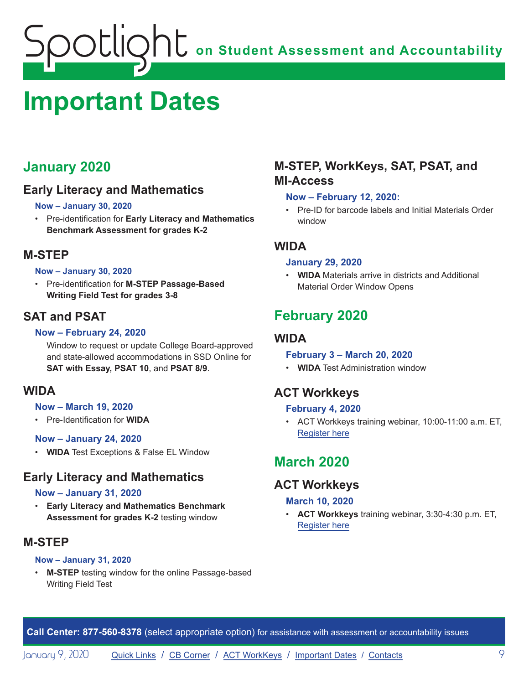# <span id="page-8-1"></span><span id="page-8-0"></span>**Important Dates**

# **January 2020**

# **Early Literacy and Mathematics**

#### **Now – January 30, 2020**

• Pre-identification for **Early Literacy and Mathematics Benchmark Assessment for grades K-2**

# **M-STEP**

#### **Now – January 30, 2020**

• Pre-identification for **M-STEP Passage-Based Writing Field Test for grades 3-8**

# **SAT and PSAT**

#### **Now – February 24, 2020**

Window to request or update College Board-approved and state-allowed accommodations in SSD Online for **SAT with Essay, PSAT 10**, and **PSAT 8/9**.

# **WIDA**

#### **Now – March 19, 2020**

• Pre-Identification for **WIDA**

#### **Now – January 24, 2020**

• **WIDA** Test Exceptions & False EL Window

# **Early Literacy and Mathematics**

#### **Now – January 31, 2020**

• **Early Literacy and Mathematics Benchmark Assessment for grades K-2** testing window

# **M-STEP**

#### **Now – January 31, 2020**

• **M-STEP** testing window for the online Passage-based Writing Field Test

# **M-STEP, WorkKeys, SAT, PSAT, and MI-Access**

#### **Now – February 12, 2020:**

• Pre-ID for barcode labels and Initial Materials Order window

# **WIDA**

#### **January 29, 2020**

• **WIDA** Materials arrive in districts and Additional Material Order Window Opens

# **February 2020**

# **WIDA**

- **February 3 March 20, 2020**
- **WIDA** Test Administration window

# **ACT Workkeys**

#### **February 4, 2020**

• ACT Workkeys training webinar, 10:00-11:00 a.m. ET, [Register here](https://event.on24.com/wcc/r/2124038/11177BB2C08057557E1BDD10CF935708)

# **March 2020**

# **ACT Workkeys**

#### **March 10, 2020**

• **ACT Workkeys** training webinar, 3:30-4:30 p.m. ET, [Register here](https://event.on24.com/wcc/r/2124036/C50E209AAEDE2B03029BDE55DA459C17)